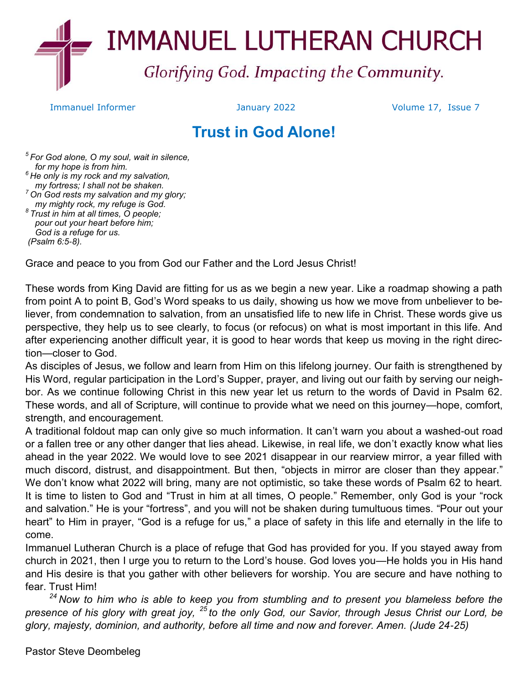

Immanuel Informer January 2022 Volume 17, Issue 7

# **Trust in God Alone!**

*5 For God alone, O my soul, wait in silence, for my hope is from him. <sup>6</sup> He only is my rock and my salvation, my fortress; I shall not be shaken. <sup>7</sup> On God rests my salvation and my glory; my mighty rock, my refuge is God. 8 Trust in him at all times, O people; pour out your heart before him; God is a refuge for us. (Psalm 6:5-8).*

Grace and peace to you from God our Father and the Lord Jesus Christ!

These words from King David are fitting for us as we begin a new year. Like a roadmap showing a path from point A to point B, God's Word speaks to us daily, showing us how we move from unbeliever to believer, from condemnation to salvation, from an unsatisfied life to new life in Christ. These words give us perspective, they help us to see clearly, to focus (or refocus) on what is most important in this life. And after experiencing another difficult year, it is good to hear words that keep us moving in the right direction—closer to God.

As disciples of Jesus, we follow and learn from Him on this lifelong journey. Our faith is strengthened by His Word, regular participation in the Lord's Supper, prayer, and living out our faith by serving our neighbor. As we continue following Christ in this new year let us return to the words of David in Psalm 62. These words, and all of Scripture, will continue to provide what we need on this journey—hope, comfort, strength, and encouragement.

A traditional foldout map can only give so much information. It can't warn you about a washed-out road or a fallen tree or any other danger that lies ahead. Likewise, in real life, we don't exactly know what lies ahead in the year 2022. We would love to see 2021 disappear in our rearview mirror, a year filled with much discord, distrust, and disappointment. But then, "objects in mirror are closer than they appear." We don't know what 2022 will bring, many are not optimistic, so take these words of Psalm 62 to heart. It is time to listen to God and "Trust in him at all times, O people." Remember, only God is your "rock and salvation." He is your "fortress", and you will not be shaken during tumultuous times. "Pour out your heart" to Him in prayer, "God is a refuge for us," a place of safety in this life and eternally in the life to come.

Immanuel Lutheran Church is a place of refuge that God has provided for you. If you stayed away from church in 2021, then I urge you to return to the Lord's house. God loves you—He holds you in His hand and His desire is that you gather with other believers for worship. You are secure and have nothing to fear. Trust Him!

*<sup>24</sup> Now to him who is able to keep you from stumbling and to present you blameless before the presence of his glory with great joy, <sup>25</sup> to the only God, our Savior, through Jesus Christ our Lord, be glory, majesty, dominion, and authority, before all time and now and forever. Amen. (Jude 24-25)*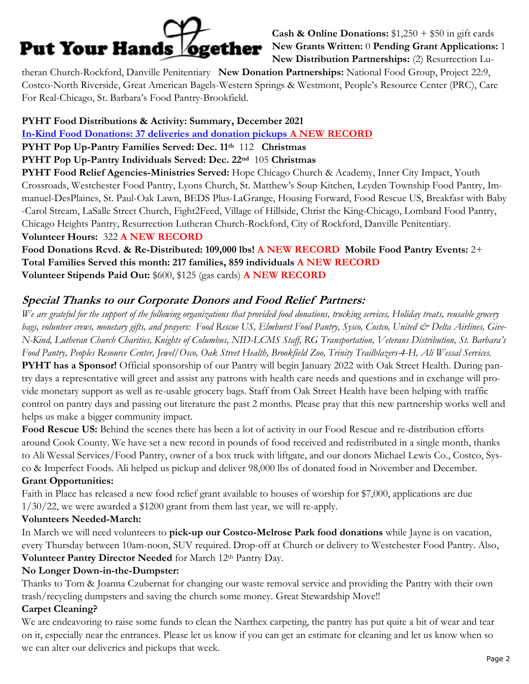

**Cash & Online Donations:**  $$1,250 + $50$  in gift cards **New Grants Written:** 0 **Pending Grant Applications:** 1 **New Distribution Partnerships:** (2) Resurrection Lu-

theran Church-Rockford, Danville Penitentiary **New Donation Partnerships:** National Food Group, Project 22:9, Costco-North Riverside, Great American Bagels-Western Springs & Westmont, People's Resource Center (PRC), Care For Real-Chicago, St. Barbara's Food Pantry-Brookfield.

# **PYHT Food Distributions & Activity: Summary, December 2021**

**In-Kind Food Donations: 37 deliveries and donation pickups A NEW RECORD**

**PYHT Pop Up-Pantry Families Served: Dec. 11th** 112 **Christmas**

#### **PYHT Pop Up-Pantry Individuals Served: Dec. 22nd** 105 **Christmas**

**PYHT Food Relief Agencies-Ministries Served:** Hope Chicago Church & Academy, Inner City Impact, Youth Crossroads, Westchester Food Pantry, Lyons Church, St. Matthew's Soup Kitchen, Leyden Township Food Pantry, Immanuel-DesPlaines, St. Paul-Oak Lawn, BEDS Plus-LaGrange, Housing Forward, Food Rescue US, Breakfast with Baby -Carol Stream, LaSalle Street Church, Fight2Feed, Village of Hillside, Christ the King-Chicago, Lombard Food Pantry, Chicago Heights Pantry, Resurrection Lutheran Church-Rockford, City of Rockford, Danville Penitentiary. **Volunteer Hours:** 322 **A NEW RECORD** 

**Food Donations Rcvd. & Re-Distributed: 109,000 lbs! A NEW RECORD Mobile Food Pantry Events:** 2+ **Total Families Served this month: 217 families, 859 individuals A NEW RECORD Volunteer Stipends Paid Out:** \$600, \$125 (gas cards) **A NEW RECORD**

# **Special Thanks to our Corporate Donors and Food Relief Partners:**

*We are grateful for the support of the following organizations that provided food donations, trucking services, Holiday treats, reusable grocery*  bags, volunteer crews, monetary gifts, and prayers: Food Rescue US, Elmhurst Food Pantry, Sysco, Costco, United & Delta Airlines, Give-*N-Kind, Lutheran Church Charities, Knights of Columbus, NID-LCMS Staff, RG Transportation, Veterans Distribution, St. Barbara's Food Pantry, Peoples Resource Center, Jewel/Osco, Oak Street Health, Brookfield Zoo, Trinity Trailblazers-4-H, Ali Wessal Services.*

**PYHT has a Sponsor!** Official sponsorship of our Pantry will begin January 2022 with Oak Street Health. During pantry days a representative will greet and assist any patrons with health care needs and questions and in exchange will provide monetary support as well as re-usable grocery bags. Staff from Oak Street Health have been helping with traffic control on pantry days and passing out literature the past 2 months. Please pray that this new partnership works well and helps us make a bigger community impact.

**Food Rescue US:** Behind the scenes there has been a lot of activity in our Food Rescue and re-distribution efforts around Cook County. We have set a new record in pounds of food received and redistributed in a single month, thanks to Ali Wessal Services/Food Pantry, owner of a box truck with liftgate, and our donors Michael Lewis Co., Costco, Sysco & Imperfect Foods. Ali helped us pickup and deliver 98,000 lbs of donated food in November and December.

## **Grant Opportunities:**

Faith in Place has released a new food relief grant available to houses of worship for \$7,000, applications are due 1/30/22, we were awarded a \$1200 grant from them last year, we will re-apply.

## **Volunteers Needed-March:**

In March we will need volunteers to **pick-up our Costco-Melrose Park food donations** while Jayne is on vacation, every Thursday between 10am-noon, SUV required. Drop-off at Church or delivery to Westchester Food Pantry. Also, **Volunteer Pantry Director Needed** for March 12th Pantry Day.

## **No Longer Down-in-the-Dumpster:**

Thanks to Tom & Joanna Czubernat for changing our waste removal service and providing the Pantry with their own trash/recycling dumpsters and saving the church some money. Great Stewardship Move!!

## **Carpet Cleaning?**

We are endeavoring to raise some funds to clean the Narthex carpeting, the pantry has put quite a bit of wear and tear on it, especially near the entrances. Please let us know if you can get an estimate for cleaning and let us know when so we can alter our deliveries and pickups that week.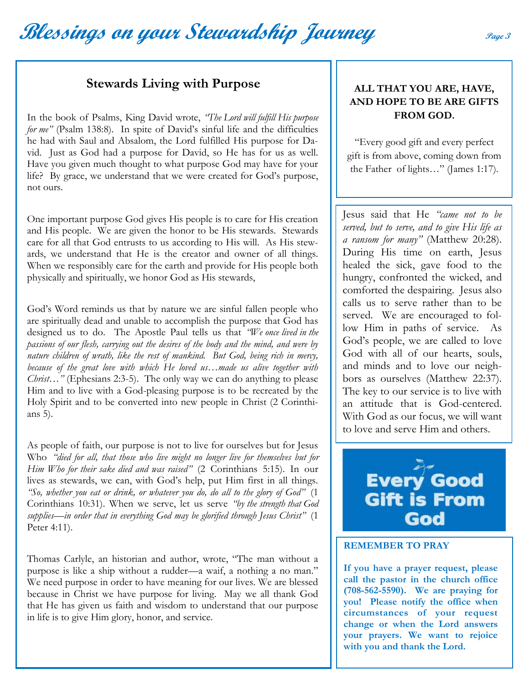# **Blessings on your Stewardship Journey Page 3**

# **Stewards Living with Purpose**

In the book of Psalms, King David wrote, *"The Lord will fulfill His purpose for me"* (Psalm 138:8). In spite of David's sinful life and the difficulties he had with Saul and Absalom, the Lord fulfilled His purpose for David. Just as God had a purpose for David, so He has for us as well. Have you given much thought to what purpose God may have for your life? By grace, we understand that we were created for God's purpose, not ours.

One important purpose God gives His people is to care for His creation and His people. We are given the honor to be His stewards. Stewards care for all that God entrusts to us according to His will. As His stewards, we understand that He is the creator and owner of all things. When we responsibly care for the earth and provide for His people both physically and spiritually, we honor God as His stewards,

God's Word reminds us that by nature we are sinful fallen people who are spiritually dead and unable to accomplish the purpose that God has designed us to do. The Apostle Paul tells us that *"We once lived in the passions of our flesh, carrying out the desires of the body and the mind, and were by nature children of wrath, like the rest of mankind. But God, being rich in mercy, because of the great love with which He loved us…made us alive together with Christ…"* (Ephesians 2:3-5). The only way we can do anything to please Him and to live with a God-pleasing purpose is to be recreated by the Holy Spirit and to be converted into new people in Christ (2 Corinthians 5).

As people of faith, our purpose is not to live for ourselves but for Jesus Who *"died for all, that those who live might no longer live for themselves but for Him Who for their sake died and was raised"* (2 Corinthians 5:15). In our lives as stewards, we can, with God's help, put Him first in all things. *"So, whether you eat or drink, or whatever you do, do all to the glory of God"* (1 Corinthians 10:31). When we serve, let us serve *"by the strength that God supplies—in order that in everything God may be glorified through Jesus Christ"* (1 Peter 4:11).

Thomas Carlyle, an historian and author, wrote, "The man without a purpose is like a ship without a rudder—a waif, a nothing a no man." We need purpose in order to have meaning for our lives. We are blessed because in Christ we have purpose for living. May we all thank God that He has given us faith and wisdom to understand that our purpose in life is to give Him glory, honor, and service.

## **ALL THAT YOU ARE, HAVE, AND HOPE TO BE ARE GIFTS FROM GOD.**

"Every good gift and every perfect gift is from above, coming down from the Father of lights…" (James 1:17).

Jesus said that He *"came not to be served, but to serve, and to give His life as a ransom for many"* (Matthew 20:28). During His time on earth, Jesus healed the sick, gave food to the hungry, confronted the wicked, and comforted the despairing. Jesus also calls us to serve rather than to be served. We are encouraged to follow Him in paths of service. As God's people, we are called to love God with all of our hearts, souls, and minds and to love our neighbors as ourselves (Matthew 22:37). The key to our service is to live with an attitude that is God-centered. With God as our focus, we will want to love and serve Him and others.



#### **REMEMBER TO PRAY**

**If you have a prayer request, please call the pastor in the church office (708-562-5590). We are praying for you! Please notify the office when circumstances of your request change or when the Lord answers your prayers. We want to rejoice with you and thank the Lord.**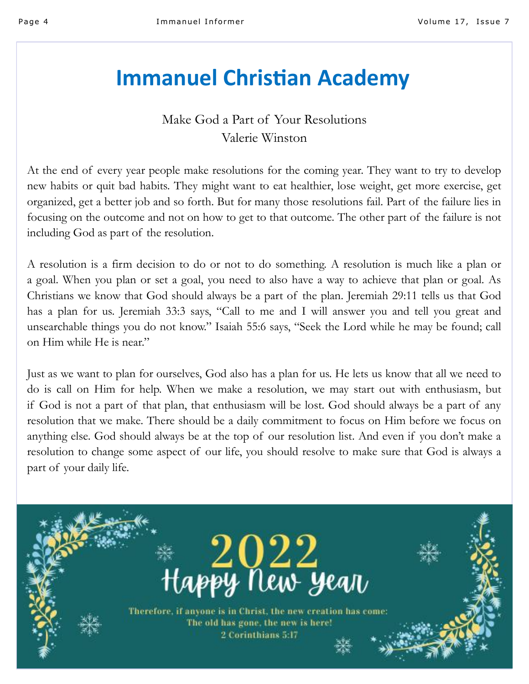# **Immanuel Christian Academy**

# Make God a Part of Your Resolutions Valerie Winston

At the end of every year people make resolutions for the coming year. They want to try to develop new habits or quit bad habits. They might want to eat healthier, lose weight, get more exercise, get organized, get a better job and so forth. But for many those resolutions fail. Part of the failure lies in focusing on the outcome and not on how to get to that outcome. The other part of the failure is not including God as part of the resolution.

A resolution is a firm decision to do or not to do something. A resolution is much like a plan or a goal. When you plan or set a goal, you need to also have a way to achieve that plan or goal. As Christians we know that God should always be a part of the plan. Jeremiah 29:11 tells us that God has a plan for us. Jeremiah 33:3 says, "Call to me and I will answer you and tell you great and unsearchable things you do not know." Isaiah 55:6 says, "Seek the Lord while he may be found; call on Him while He is near."

Just as we want to plan for ourselves, God also has a plan for us. He lets us know that all we need to do is call on Him for help. When we make a resolution, we may start out with enthusiasm, but if God is not a part of that plan, that enthusiasm will be lost. God should always be a part of any resolution that we make. There should be a daily commitment to focus on Him before we focus on anything else. God should always be at the top of our resolution list. And even if you don't make a resolution to change some aspect of our life, you should resolve to make sure that God is always a part of your daily life.

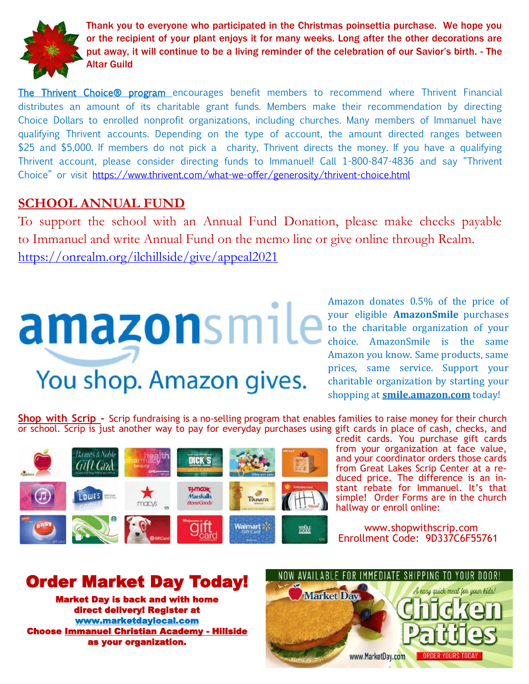

Thank you to everyone who participated in the Christmas poinsettia purchase. We hope you or the recipient of your plant enjoys it for many weeks. Long after the other decorations are put away, it will continue to be a living reminder of the celebration of our Savior's birth. - The Altar Guild

The Thrivent Choice<sup>®</sup> program encourages benefit members to recommend where Thrivent Financial distributes an amount of its charitable grant funds. Members make their recommendation by directing Choice Dollars to enrolled nonprofit organizations, including churches. Many members of Immanuel have qualifying Thrivent accounts. Depending on the type of account, the amount directed ranges between \$25 and \$5,000. If members do not pick a charity, Thrivent directs the money. If you have a qualifying Thrivent account, please consider directing funds to Immanuel! Call 1-800-847-4836 and say "Thrivent Choice" or visit [https://www.thrivent.com/what](https://www.thrivent.com/what-we-offer/generosity/thrivent-choice.html)-we-offer/generosity/thrivent-choice.html

# **SCHOOL ANNUAL FUND**

To support the school with an Annual Fund Donation, please make checks payable to Immanuel and write Annual Fund on the memo line or give online through Realm. <https://onrealm.org/ilchillside/give/appeal2021>

# You shop. Amazon gives.

Amazon donates 0.5% of the price of your eligible **AmazonSmile** purchases to the charitable organization of your choice. AmazonSmile is the same Amazon you know. Same products, same prices, same service. Support your charitable organization by starting your shopping at **<smile.amazon.com>** today!

**Shop with Scrip -** Scrip fundraising is a no-selling program that enables families to raise money for their church or school. Scrip is just another way to pay for everyday purchases using gift cards in place of cash, checks, and



credit cards. You purchase gift cards from your organization at face value, and your coordinator orders those cards from Great Lakes Scrip Center at a reduced price. The difference is an instant rebate for Immanuel. It's that simple! Order Forms are in the church hallway or enroll online:

www.shopwithscrip.com Enrollment Code: 9D337C6F55761

# Order Market Day Today!

Market Day is back and with home direct delivery! Register at [www.marketdaylocal.com](http://www.marketdaylocal.com/?fbclid=IwAR3iwvQm_DDk7Q0XHZjxNPgKliXIVTSPsG4VpHMGe4TqhBMh8x31sRQ-eAQ)  Choose Immanuel Christian Academy - Hillside as your organization.

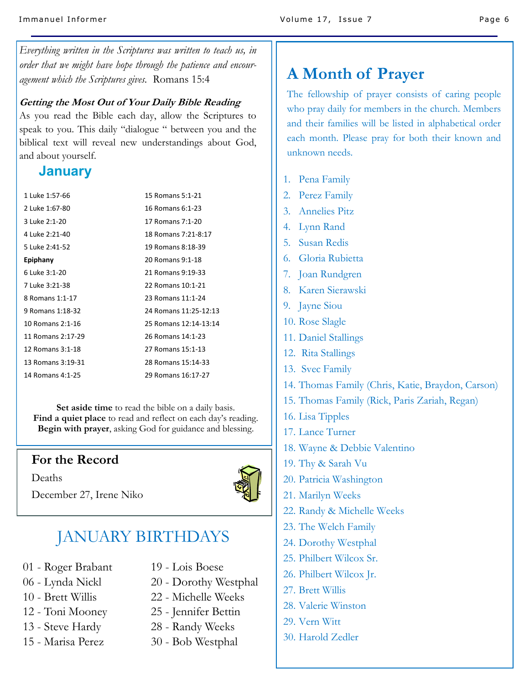*Everything written in the Scriptures was written to teach us, in order that we might have hope through the patience and encouragement which the Scriptures gives.* Romans 15:4

#### **Getting the Most Out of Your Daily Bible Reading**

As you read the Bible each day, allow the Scriptures to speak to you. This daily "dialogue " between you and the biblical text will reveal new understandings about God, and about yourself.

# **January**

| 1 Luke 1:57-66    | 15 Romans 5:1-21      |
|-------------------|-----------------------|
| 2 Luke 1:67-80    | 16 Romans 6:1-23      |
| 3 Luke 2:1-20     | 17 Romans 7:1-20      |
| 4 Luke 2:21-40    | 18 Romans 7:21-8:17   |
| 5 Luke 2:41-52    | 19 Romans 8:18-39     |
| Epiphany          | 20 Romans 9:1-18      |
| 6 Luke 3:1-20     | 21 Romans 9:19-33     |
| 7 Luke 3:21-38    | 22 Romans 10:1-21     |
| 8 Romans 1:1-17   | 23 Romans 11:1-24     |
| 9 Romans 1:18-32  | 24 Romans 11:25-12:13 |
| 10 Romans 2:1-16  | 25 Romans 12:14-13:14 |
| 11 Romans 2:17-29 | 26 Romans 14:1-23     |
| 12 Romans 3:1-18  | 27 Romans 15:1-13     |
| 13 Romans 3:19-31 | 28 Romans 15:14-33    |
| 14 Romans 4:1-25  | 29 Romans 16:17-27    |
|                   |                       |

**Set aside time** to read the bible on a daily basis. **Find a quiet place** to read and reflect on each day's reading. **Begin with prayer**, asking God for guidance and blessing.

# **For the Record**

Deaths



December 27, Irene Niko

# JANUARY BIRTHDAYS

- 01 Roger Brabant
- 06 Lynda Nickl
- 10 Brett Willis
- 12 Toni Mooney
- 13 Steve Hardy
- 15 Marisa Perez
- 19 Lois Boese
- 20 Dorothy Westphal
- 22 Michelle Weeks
- 25 Jennifer Bettin
- 28 Randy Weeks
- 30 Bob Westphal

# **A Month of Prayer**

The fellowship of prayer consists of caring people who pray daily for members in the church. Members and their families will be listed in alphabetical order each month. Please pray for both their known and unknown needs.

- 1. Pena Family
- 2. Perez Family
- 3. Annelies Pitz
- 4. Lynn Rand
- 5. Susan Redis
- 6. Gloria Rubietta
- 7. Joan Rundgren
- 8. Karen Sierawski
- 9. Jayne Siou
- 10. Rose Slagle
- 11. Daniel Stallings
- 12. Rita Stallings
- 13. Svec Family
- 14. Thomas Family (Chris, Katie, Braydon, Carson)
- 15. Thomas Family (Rick, Paris Zariah, Regan)
- 16. Lisa Tipples
- 17. Lance Turner
- 18. Wayne & Debbie Valentino
- 19. Thy & Sarah Vu
- 20. Patricia Washington
- 21. Marilyn Weeks
- 22. Randy & Michelle Weeks
- 23. The Welch Family
- 24. Dorothy Westphal
- 25. Philbert Wilcox Sr.
- 26. Philbert Wilcox Jr.
- 27. Brett Willis
- 28. Valerie Winston
- 29. Vern Witt
- 30. Harold Zedler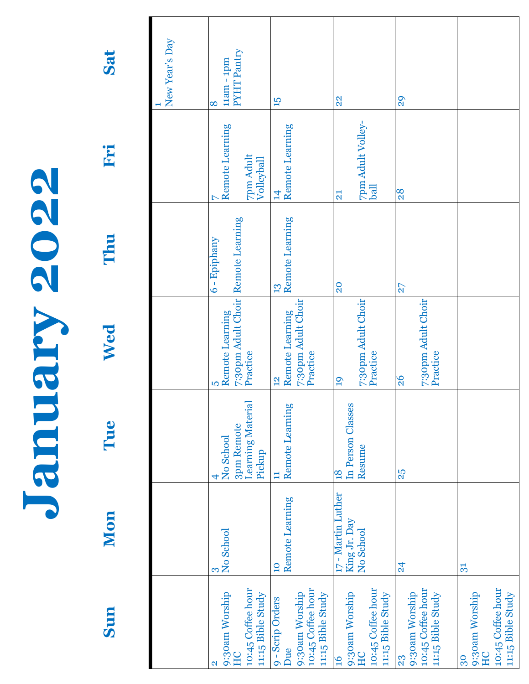| 6          |
|------------|
| 6          |
|            |
| $\bigcirc$ |
| 6          |
|            |
|            |
|            |
|            |
|            |
| 6          |
|            |
|            |
|            |
|            |
|            |
|            |
|            |

Sun

Tue

Mon

Wed

**Sun Mon Tue Wed Thu Fri Sat** Thu

Fri

Sat

| New Year's Day | PYHT Pantry<br>$11$ am - $1$ pm<br>8                                                     | $\overline{5}$                                                                              | 22                                                                                | 29                                                             |                                                                      |
|----------------|------------------------------------------------------------------------------------------|---------------------------------------------------------------------------------------------|-----------------------------------------------------------------------------------|----------------------------------------------------------------|----------------------------------------------------------------------|
|                | Remote Learning<br>7pm Adult<br>Volleyball                                               | Remote Learning<br>$\overline{1}$                                                           | 7pm Adult Volley-<br>ball<br>$\overline{21}$                                      | 28                                                             |                                                                      |
|                | 7:30pm Adult Choir Remote Learning<br>$6 - Epiphany$<br>Remote Learning<br>Practice<br>S | Remote Learning<br>13<br>7:30pm Adult Choir<br>Remote Learning<br>Practice<br>$\frac{2}{3}$ | 20<br>7:30pm Adult Choir<br>Practice<br>19                                        | 27<br>7:30pm Adult Choir<br>Practice<br>$\frac{8}{2}$          |                                                                      |
|                | Learning Materia<br>3pm Remote<br>No School<br>Pickup                                    | Remote Learning<br>Ξ                                                                        | In Person Classes<br>Resume<br>$\frac{8}{18}$                                     | 25                                                             |                                                                      |
|                | No School                                                                                | Remote Learning<br>$\overline{10}$                                                          | 17 - Martin Luther<br>King Jr. Day<br>No School                                   | $\overline{24}$                                                | 31                                                                   |
|                | 10:45 Coffee hour<br>11:15 Bible Study<br>9:30am Worship<br>HC                           | 10:45 Coffee hour<br>9:30am Worship<br>11:15 Bible Study<br>9 - Scrip Orders<br>Due         | 10:45 Coffee hour<br>11:15 Bible Study<br>9:30am Worship<br>HC<br>$\overline{16}$ | 10:45 Coffee hour<br>9:30am Worship<br>11:15 Bible Study<br>23 | 10:45 Coffee hour<br>11:15 Bible Study<br>9:30am Worship<br>HC<br>30 |